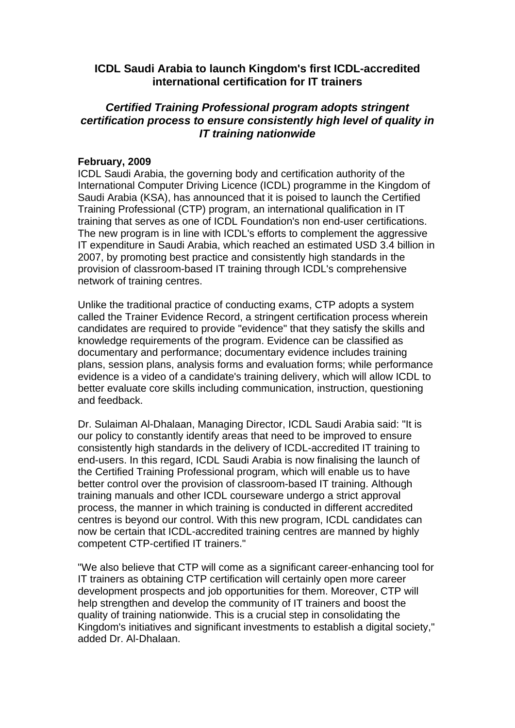## **ICDL Saudi Arabia to launch Kingdom's first ICDL-accredited international certification for IT trainers**

## *Certified Training Professional program adopts stringent certification process to ensure consistently high level of quality in IT training nationwide*

## **February, 2009**

ICDL Saudi Arabia, the governing body and certification authority of the International Computer Driving Licence (ICDL) programme in the Kingdom of Saudi Arabia (KSA), has announced that it is poised to launch the Certified Training Professional (CTP) program, an international qualification in IT training that serves as one of ICDL Foundation's non end-user certifications. The new program is in line with ICDL's efforts to complement the aggressive IT expenditure in Saudi Arabia, which reached an estimated USD 3.4 billion in 2007, by promoting best practice and consistently high standards in the provision of classroom-based IT training through ICDL's comprehensive network of training centres.

Unlike the traditional practice of conducting exams, CTP adopts a system called the Trainer Evidence Record, a stringent certification process wherein candidates are required to provide "evidence" that they satisfy the skills and knowledge requirements of the program. Evidence can be classified as documentary and performance; documentary evidence includes training plans, session plans, analysis forms and evaluation forms; while performance evidence is a video of a candidate's training delivery, which will allow ICDL to better evaluate core skills including communication, instruction, questioning and feedback.

Dr. Sulaiman Al-Dhalaan, Managing Director, ICDL Saudi Arabia said: "It is our policy to constantly identify areas that need to be improved to ensure consistently high standards in the delivery of ICDL-accredited IT training to end-users. In this regard, ICDL Saudi Arabia is now finalising the launch of the Certified Training Professional program, which will enable us to have better control over the provision of classroom-based IT training. Although training manuals and other ICDL courseware undergo a strict approval process, the manner in which training is conducted in different accredited centres is beyond our control. With this new program, ICDL candidates can now be certain that ICDL-accredited training centres are manned by highly competent CTP-certified IT trainers."

"We also believe that CTP will come as a significant career-enhancing tool for IT trainers as obtaining CTP certification will certainly open more career development prospects and job opportunities for them. Moreover, CTP will help strengthen and develop the community of IT trainers and boost the quality of training nationwide. This is a crucial step in consolidating the Kingdom's initiatives and significant investments to establish a digital society," added Dr. Al-Dhalaan.